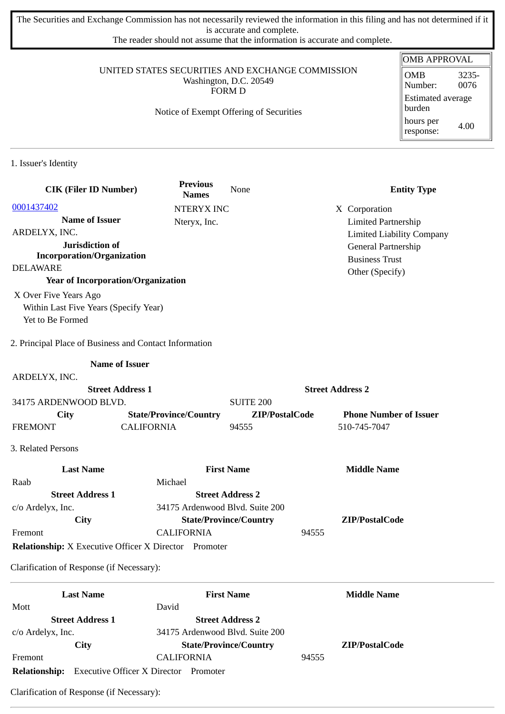The Securities and Exchange Commission has not necessarily reviewed the information in this filing and has not determined if it is accurate and complete.

The reader should not assume that the information is accurate and complete.

### UNITED STATES SECURITIES AND EXCHANGE COMMISSION Washington, D.C. 20549 FORM D

### Notice of Exempt Offering of Securities

| <b>OMB APPROVAL</b>                |               |
|------------------------------------|---------------|
| <b>OMB</b><br>Number:              | 3235-<br>0076 |
| <b>Estimated average</b><br>burden |               |
| hours per<br>response:             | 4.00          |

1. Issuer's Identity

| <b>CIK (Filer ID Number)</b>                              | <b>Previous</b><br><b>Names</b> | None                          | <b>Entity Type</b>                                             |
|-----------------------------------------------------------|---------------------------------|-------------------------------|----------------------------------------------------------------|
| 0001437402                                                | <b>NTERYX INC</b>               |                               | X Corporation                                                  |
| <b>Name of Issuer</b><br>ARDELYX, INC.                    | Nteryx, Inc.                    |                               | <b>Limited Partnership</b><br><b>Limited Liability Company</b> |
| Jurisdiction of<br><b>Incorporation/Organization</b>      |                                 |                               | General Partnership<br><b>Business Trust</b>                   |
| <b>DELAWARE</b>                                           |                                 |                               | Other (Specify)                                                |
| <b>Year of Incorporation/Organization</b>                 |                                 |                               |                                                                |
| X Over Five Years Ago                                     |                                 |                               |                                                                |
| Within Last Five Years (Specify Year)<br>Yet to Be Formed |                                 |                               |                                                                |
| 2. Principal Place of Business and Contact Information    |                                 |                               |                                                                |
|                                                           | <b>Name of Issuer</b>           |                               |                                                                |
| ARDELYX, INC.                                             |                                 |                               |                                                                |
|                                                           | <b>Street Address 1</b>         |                               | <b>Street Address 2</b>                                        |
| 34175 ARDENWOOD BLVD.                                     |                                 | <b>SUITE 200</b>              |                                                                |
| <b>City</b>                                               | <b>State/Province/Country</b>   | ZIP/PostalCode                | <b>Phone Number of Issuer</b>                                  |
| <b>FREMONT</b>                                            | <b>CALIFORNIA</b>               | 94555                         | 510-745-7047                                                   |
| 3. Related Persons                                        |                                 |                               |                                                                |
| <b>Last Name</b>                                          |                                 | <b>First Name</b>             | <b>Middle Name</b>                                             |
| Raab                                                      | Michael                         |                               |                                                                |
| <b>Street Address 1</b>                                   |                                 | <b>Street Address 2</b>       |                                                                |
| c/o Ardelyx, Inc.                                         | 34175 Ardenwood Blvd. Suite 200 |                               |                                                                |
| <b>City</b>                                               |                                 | <b>State/Province/Country</b> | ZIP/PostalCode                                                 |
| Fremont                                                   | <b>CALIFORNIA</b>               | 94555                         |                                                                |
| Relationship: X Executive Officer X Director Promoter     |                                 |                               |                                                                |
| Clarification of Response (if Necessary):                 |                                 |                               |                                                                |
| <b>Last Name</b>                                          |                                 | <b>First Name</b>             | <b>Middle Name</b>                                             |
| Mott                                                      | David                           |                               |                                                                |
| <b>Street Address 1</b>                                   |                                 | <b>Street Address 2</b>       |                                                                |
| c/o Ardelyx, Inc.                                         | 34175 Ardenwood Blvd. Suite 200 |                               |                                                                |
| City                                                      |                                 | <b>State/Province/Country</b> | ZIP/PostalCode                                                 |
| Fremont                                                   | <b>CALIFORNIA</b>               | 94555                         |                                                                |

**Relationship:** Executive Officer X Director Promoter

Clarification of Response (if Necessary):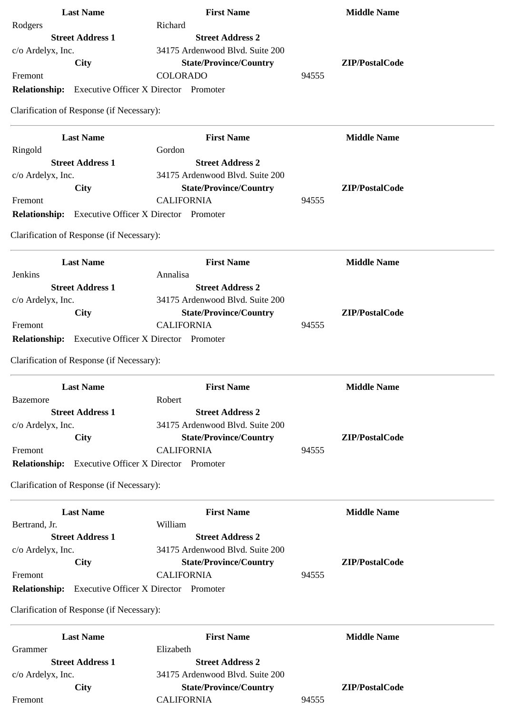| <b>Last Name</b>                                           | <b>First Name</b>               | <b>Middle Name</b> |
|------------------------------------------------------------|---------------------------------|--------------------|
| Rodgers                                                    | Richard                         |                    |
| <b>Street Address 1</b>                                    | <b>Street Address 2</b>         |                    |
| c/o Ardelyx, Inc.                                          | 34175 Ardenwood Blvd. Suite 200 |                    |
| City                                                       | <b>State/Province/Country</b>   | ZIP/PostalCode     |
| Fremont                                                    | COLORADO                        | 94555              |
| <b>Relationship:</b> Executive Officer X Director Promoter |                                 |                    |
| Clarification of Response (if Necessary):                  |                                 |                    |
|                                                            |                                 |                    |
| <b>Last Name</b>                                           | <b>First Name</b>               | <b>Middle Name</b> |
| Ringold                                                    | Gordon                          |                    |
| <b>Street Address 1</b>                                    | <b>Street Address 2</b>         |                    |
| c/o Ardelyx, Inc.                                          | 34175 Ardenwood Blvd. Suite 200 |                    |
| <b>City</b>                                                | <b>State/Province/Country</b>   | ZIP/PostalCode     |
| Fremont                                                    | <b>CALIFORNIA</b>               | 94555              |
| <b>Relationship:</b> Executive Officer X Director Promoter |                                 |                    |
|                                                            |                                 |                    |
| Clarification of Response (if Necessary):                  |                                 |                    |
| <b>Last Name</b>                                           | <b>First Name</b>               | <b>Middle Name</b> |
| Jenkins                                                    | Annalisa                        |                    |
| <b>Street Address 1</b>                                    | <b>Street Address 2</b>         |                    |
| c/o Ardelyx, Inc.                                          | 34175 Ardenwood Blvd. Suite 200 |                    |
| <b>City</b>                                                | <b>State/Province/Country</b>   | ZIP/PostalCode     |
| Fremont                                                    | <b>CALIFORNIA</b>               | 94555              |
|                                                            |                                 |                    |
| <b>Relationship:</b> Executive Officer X Director Promoter |                                 |                    |
| Clarification of Response (if Necessary):                  |                                 |                    |
| <b>Last Name</b>                                           | <b>First Name</b>               | <b>Middle Name</b> |
| <b>Bazemore</b>                                            | Robert                          |                    |
| <b>Street Address 1</b>                                    | <b>Street Address 2</b>         |                    |
| c/o Ardelyx, Inc.                                          | 34175 Ardenwood Blvd. Suite 200 |                    |
| <b>City</b>                                                | <b>State/Province/Country</b>   | ZIP/PostalCode     |
| Fremont                                                    | <b>CALIFORNIA</b>               | 94555              |
| Relationship: Executive Officer X Director Promoter        |                                 |                    |
| Clarification of Response (if Necessary):                  |                                 |                    |
| <b>Last Name</b>                                           | <b>First Name</b>               | <b>Middle Name</b> |
| Bertrand, Jr.                                              | William                         |                    |
| <b>Street Address 1</b>                                    | <b>Street Address 2</b>         |                    |
|                                                            |                                 |                    |
| c/o Ardelyx, Inc.                                          | 34175 Ardenwood Blvd. Suite 200 |                    |
| <b>City</b>                                                | <b>State/Province/Country</b>   | ZIP/PostalCode     |
| Fremont                                                    | <b>CALIFORNIA</b>               | 94555              |
| <b>Relationship:</b> Executive Officer X Director Promoter |                                 |                    |
| Clarification of Response (if Necessary):                  |                                 |                    |
|                                                            |                                 |                    |
| <b>Last Name</b>                                           | <b>First Name</b>               | <b>Middle Name</b> |
| Grammer                                                    | Elizabeth                       |                    |
| <b>Street Address 1</b>                                    | <b>Street Address 2</b>         |                    |
| c/o Ardelyx, Inc.                                          | 34175 Ardenwood Blvd. Suite 200 |                    |
| City                                                       | <b>State/Province/Country</b>   | ZIP/PostalCode     |
| Fremont                                                    | <b>CALIFORNIA</b>               | 94555              |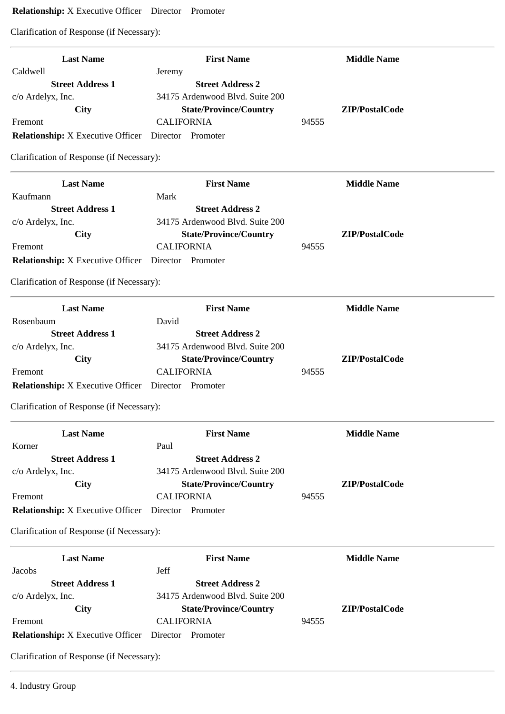# **Relationship:** X Executive Officer Director Promoter

Clarification of Response (if Necessary):

| <b>Last Name</b>                                           | <b>First Name</b>               | <b>Middle Name</b> |
|------------------------------------------------------------|---------------------------------|--------------------|
| Caldwell                                                   | Jeremy                          |                    |
| <b>Street Address 1</b>                                    | <b>Street Address 2</b>         |                    |
| c/o Ardelyx, Inc.                                          | 34175 Ardenwood Blvd. Suite 200 |                    |
| City                                                       | <b>State/Province/Country</b>   | ZIP/PostalCode     |
| Fremont                                                    | <b>CALIFORNIA</b>               | 94555              |
| <b>Relationship:</b> X Executive Officer                   | Director Promoter               |                    |
| Clarification of Response (if Necessary):                  |                                 |                    |
| <b>Last Name</b>                                           | <b>First Name</b>               | <b>Middle Name</b> |
| Kaufmann                                                   | Mark                            |                    |
| <b>Street Address 1</b>                                    | <b>Street Address 2</b>         |                    |
| c/o Ardelyx, Inc.                                          | 34175 Ardenwood Blvd. Suite 200 |                    |
| City                                                       | <b>State/Province/Country</b>   | ZIP/PostalCode     |
| Fremont                                                    | <b>CALIFORNIA</b>               | 94555              |
| <b>Relationship:</b> X Executive Officer Director Promoter |                                 |                    |
| Clarification of Response (if Necessary):                  |                                 |                    |
| <b>Last Name</b>                                           | <b>First Name</b>               | <b>Middle Name</b> |
| Rosenbaum                                                  | David                           |                    |
| <b>Street Address 1</b>                                    | <b>Street Address 2</b>         |                    |
| c/o Ardelyx, Inc.                                          | 34175 Ardenwood Blvd. Suite 200 |                    |
| City                                                       | <b>State/Province/Country</b>   | ZIP/PostalCode     |
| Fremont                                                    | <b>CALIFORNIA</b>               | 94555              |
| <b>Relationship:</b> X Executive Officer Director Promoter |                                 |                    |
| Clarification of Response (if Necessary):                  |                                 |                    |
| <b>Last Name</b>                                           | <b>First Name</b>               | <b>Middle Name</b> |
| Korner                                                     | Paul                            |                    |
| <b>Street Address 1</b>                                    | <b>Street Address 2</b>         |                    |
| c/o Ardelyx, Inc.                                          | 34175 Ardenwood Blvd. Suite 200 |                    |
| City                                                       | <b>State/Province/Country</b>   | ZIP/PostalCode     |
| Fremont                                                    | <b>CALIFORNIA</b>               | 94555              |
| <b>Relationship:</b> X Executive Officer                   | Director Promoter               |                    |
| Clarification of Response (if Necessary):                  |                                 |                    |
| <b>Last Name</b>                                           | <b>First Name</b>               | <b>Middle Name</b> |
| Jacobs                                                     | Jeff                            |                    |
| <b>Street Address 1</b>                                    | <b>Street Address 2</b>         |                    |
| c/o Ardelyx, Inc.                                          | 34175 Ardenwood Blvd. Suite 200 |                    |
| City                                                       | <b>State/Province/Country</b>   | ZIP/PostalCode     |
| Fremont                                                    | <b>CALIFORNIA</b>               | 94555              |
| <b>Relationship:</b> X Executive Officer                   | Director Promoter               |                    |
| Clarification of Response (if Necessary):                  |                                 |                    |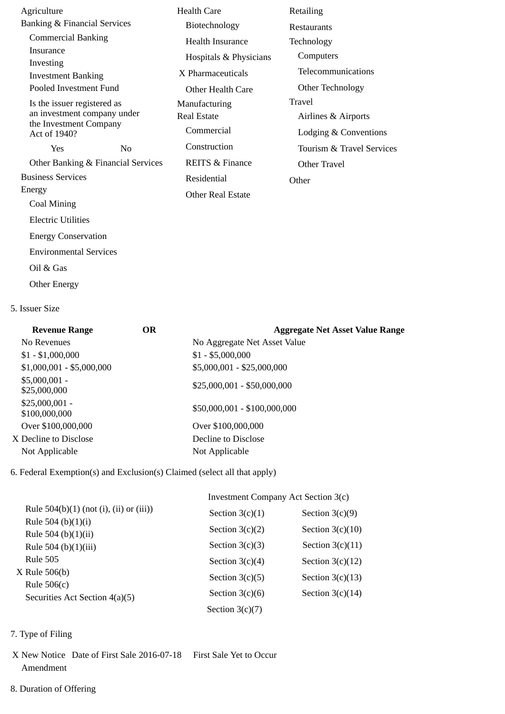| Agriculture                             |                                                       |                                    | <b>Health Care</b>         | Retailing          |
|-----------------------------------------|-------------------------------------------------------|------------------------------------|----------------------------|--------------------|
| <b>Banking &amp; Financial Services</b> |                                                       |                                    | Biotechnology              | Restaurar          |
|                                         | <b>Commercial Banking</b>                             |                                    | <b>Health Insurance</b>    | Technolo           |
| Insurance                               |                                                       |                                    | Hospitals & Physicians     | Compu              |
| Investing                               |                                                       |                                    | X Pharmaceuticals          | Telecor            |
| <b>Investment Banking</b>               | Pooled Investment Fund                                |                                    |                            | Other <sub>1</sub> |
|                                         |                                                       |                                    | Other Health Care          |                    |
|                                         | Is the issuer registered as                           |                                    | Manufacturing              | Travel             |
|                                         | an investment company under<br>the Investment Company |                                    | <b>Real Estate</b>         | Airline            |
| Act of 1940?                            |                                                       |                                    | Commercial                 | Lodgin             |
| Yes                                     |                                                       | N <sub>0</sub>                     | Construction               | Tourisr            |
|                                         |                                                       | Other Banking & Financial Services | <b>REITS &amp; Finance</b> | Other T            |
| <b>Business Services</b>                |                                                       |                                    | Residential                | Other              |
| Energy                                  |                                                       |                                    | <b>Other Real Estate</b>   |                    |
| Coal Mining                             |                                                       |                                    |                            |                    |
| <b>Electric Utilities</b>               |                                                       |                                    |                            |                    |
|                                         | <b>Energy Conservation</b>                            |                                    |                            |                    |
|                                         | <b>Environmental Services</b>                         |                                    |                            |                    |
| Oil & Gas                               |                                                       |                                    |                            |                    |
|                                         |                                                       |                                    |                            |                    |

staurants chnology **Computers**  Telecommunications Other Technology ıvel Airlines & Airports Lodging & Conventions Tourism & Travel Services Other Travel ler

#### 5. Issuer Size

Other Energy

| <b>Revenue Range</b>             | OR | <b>Aggregate Net Asset Value Range</b> |
|----------------------------------|----|----------------------------------------|
| No Revenues                      |    | No Aggregate Net Asset Value           |
| $$1 - $1,000,000$                |    | $$1 - $5,000,000$                      |
| $$1,000,001 - $5,000,000$        |    | \$5,000,001 - \$25,000,000             |
| $$5,000,001 -$<br>\$25,000,000   |    | \$25,000,001 - \$50,000,000            |
| $$25,000,001 -$<br>\$100,000,000 |    | \$50,000,001 - \$100,000,000           |
| Over \$100,000,000               |    | Over \$100,000,000                     |
| X Decline to Disclose            |    | Decline to Disclose                    |
| Not Applicable                   |    | Not Applicable                         |

6. Federal Exemption(s) and Exclusion(s) Claimed (select all that apply)

|                                                 | <b>Investment Company Act Section 3(c)</b> |                    |  |
|-------------------------------------------------|--------------------------------------------|--------------------|--|
| Rule $504(b)(1)$ (not (i), (ii) or (iii))       | Section $3(c)(1)$                          | Section $3(c)(9)$  |  |
| Rule 504 (b) $(1)(i)$<br>Rule 504 (b) $(1)(ii)$ | Section $3(c)(2)$                          | Section $3(c)(10)$ |  |
| Rule 504 (b)(1)(iii)                            | Section $3(c)(3)$                          | Section $3(c)(11)$ |  |
| <b>Rule 505</b>                                 | Section $3(c)(4)$                          | Section $3(c)(12)$ |  |
| X Rule 506(b)<br>Rule $506(c)$                  | Section $3(c)(5)$                          | Section $3(c)(13)$ |  |
| Securities Act Section 4(a)(5)                  | Section $3(c)(6)$                          | Section $3(c)(14)$ |  |
|                                                 | Section $3(c)(7)$                          |                    |  |

## 7. Type of Filing

- X New Notice Date of First Sale 2016-07-18 First Sale Yet to Occur Amendment
- 8. Duration of Offering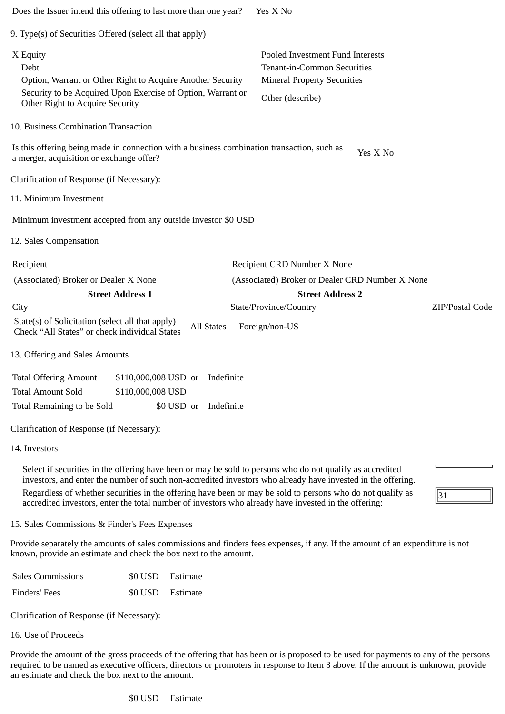| Does the Issuer intend this offering to last more than one year?                                                                                                                 |                                 |            |                   | Yes X No                                                                                                                                                                                                                                                                                                                                                                                                                                       |                 |
|----------------------------------------------------------------------------------------------------------------------------------------------------------------------------------|---------------------------------|------------|-------------------|------------------------------------------------------------------------------------------------------------------------------------------------------------------------------------------------------------------------------------------------------------------------------------------------------------------------------------------------------------------------------------------------------------------------------------------------|-----------------|
| 9. Type(s) of Securities Offered (select all that apply)                                                                                                                         |                                 |            |                   |                                                                                                                                                                                                                                                                                                                                                                                                                                                |                 |
| X Equity<br>Debt<br>Option, Warrant or Other Right to Acquire Another Security<br>Security to be Acquired Upon Exercise of Option, Warrant or<br>Other Right to Acquire Security |                                 |            |                   | Pooled Investment Fund Interests<br>Tenant-in-Common Securities<br><b>Mineral Property Securities</b><br>Other (describe)                                                                                                                                                                                                                                                                                                                      |                 |
| 10. Business Combination Transaction                                                                                                                                             |                                 |            |                   |                                                                                                                                                                                                                                                                                                                                                                                                                                                |                 |
| Is this offering being made in connection with a business combination transaction, such as<br>a merger, acquisition or exchange offer?                                           |                                 |            |                   | Yes X No                                                                                                                                                                                                                                                                                                                                                                                                                                       |                 |
| Clarification of Response (if Necessary):                                                                                                                                        |                                 |            |                   |                                                                                                                                                                                                                                                                                                                                                                                                                                                |                 |
| 11. Minimum Investment                                                                                                                                                           |                                 |            |                   |                                                                                                                                                                                                                                                                                                                                                                                                                                                |                 |
| Minimum investment accepted from any outside investor \$0 USD                                                                                                                    |                                 |            |                   |                                                                                                                                                                                                                                                                                                                                                                                                                                                |                 |
| 12. Sales Compensation                                                                                                                                                           |                                 |            |                   |                                                                                                                                                                                                                                                                                                                                                                                                                                                |                 |
| Recipient                                                                                                                                                                        |                                 |            |                   | Recipient CRD Number X None                                                                                                                                                                                                                                                                                                                                                                                                                    |                 |
| (Associated) Broker or Dealer X None                                                                                                                                             |                                 |            |                   | (Associated) Broker or Dealer CRD Number X None                                                                                                                                                                                                                                                                                                                                                                                                |                 |
|                                                                                                                                                                                  | <b>Street Address 1</b>         |            |                   | <b>Street Address 2</b>                                                                                                                                                                                                                                                                                                                                                                                                                        |                 |
| City                                                                                                                                                                             |                                 |            |                   | State/Province/Country                                                                                                                                                                                                                                                                                                                                                                                                                         | ZIP/Postal Code |
| State(s) of Solicitation (select all that apply)<br>Check "All States" or check individual States                                                                                |                                 |            | <b>All States</b> | Foreign/non-US                                                                                                                                                                                                                                                                                                                                                                                                                                 |                 |
| 13. Offering and Sales Amounts                                                                                                                                                   |                                 |            |                   |                                                                                                                                                                                                                                                                                                                                                                                                                                                |                 |
| <b>Total Offering Amount</b>                                                                                                                                                     | \$110,000,008 USD or Indefinite |            |                   |                                                                                                                                                                                                                                                                                                                                                                                                                                                |                 |
| <b>Total Amount Sold</b>                                                                                                                                                         | \$110,000,008 USD               |            |                   |                                                                                                                                                                                                                                                                                                                                                                                                                                                |                 |
| Total Remaining to be Sold                                                                                                                                                       |                                 | \$0 USD or | Indefinite        |                                                                                                                                                                                                                                                                                                                                                                                                                                                |                 |
| Clarification of Response (if Necessary):                                                                                                                                        |                                 |            |                   |                                                                                                                                                                                                                                                                                                                                                                                                                                                |                 |
| 14. Investors                                                                                                                                                                    |                                 |            |                   |                                                                                                                                                                                                                                                                                                                                                                                                                                                |                 |
|                                                                                                                                                                                  |                                 |            |                   | Select if securities in the offering have been or may be sold to persons who do not qualify as accredited<br>investors, and enter the number of such non-accredited investors who already have invested in the offering.<br>Regardless of whether securities in the offering have been or may be sold to persons who do not qualify as<br>accredited investors, enter the total number of investors who already have invested in the offering: | 31              |
| 15. Sales Commissions & Finder's Fees Expenses                                                                                                                                   |                                 |            |                   |                                                                                                                                                                                                                                                                                                                                                                                                                                                |                 |
|                                                                                                                                                                                  |                                 |            |                   | Provide separately the amounts of sales commissions and finders fees expenses, if any. If the amount of an expenditure is not                                                                                                                                                                                                                                                                                                                  |                 |
| known, provide an estimate and check the box next to the amount.                                                                                                                 |                                 |            |                   |                                                                                                                                                                                                                                                                                                                                                                                                                                                |                 |
| <b>Sales Commissions</b>                                                                                                                                                         | \$0 USD                         | Estimate   |                   |                                                                                                                                                                                                                                                                                                                                                                                                                                                |                 |

Clarification of Response (if Necessary):

16. Use of Proceeds

Provide the amount of the gross proceeds of the offering that has been or is proposed to be used for payments to any of the persons required to be named as executive officers, directors or promoters in response to Item 3 above. If the amount is unknown, provide an estimate and check the box next to the amount.